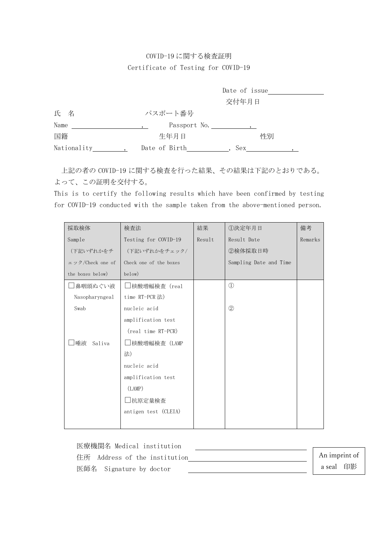## COVID-19 に関する検査証明 Certificate of Testing for COVID-19

|             |               | Date of issue |  |
|-------------|---------------|---------------|--|
|             |               | 交付年月日         |  |
| 氏 名         | パスポート番号       |               |  |
| Name        | Passport No.  |               |  |
| 国籍          | 生年月日          | 性別            |  |
| Nationality | Date of Birth | Sex           |  |

上記の者の COVID-19 に関する検査を行った結果、その結果は下記のとおりである。 よって、この証明を交付する。

This is to certify the following results which have been confirmed by testing for COVID-19 conducted with the sample taken from the above-mentioned person.

| 採取検体             | 検査法                    | 結果     | ①決定年月日                 | 備考      |
|------------------|------------------------|--------|------------------------|---------|
| Sample           | Testing for COVID-19   | Result | Result Date            | Remarks |
| (下記いずれかをチ        | (下記いずれかをチェック/          |        | ②検体採取日時                |         |
| ェック/Check one of | Check one of the boxes |        | Sampling Date and Time |         |
| the boxes below) | below)                 |        |                        |         |
| 鼻咽頭ぬぐい液          | □核酸増幅検査(real           |        | $\mathbb{O}$           |         |
| Nasopharyngeal   | time RT-PCR 法)         |        |                        |         |
| Swab             | nucleic acid           |        | $\circled{2}$          |         |
|                  | amplification test     |        |                        |         |
|                  | (real time RT-PCR)     |        |                        |         |
| 唾液<br>Saliva     | □核酸増幅検査(LAMP           |        |                        |         |
|                  | 法)                     |        |                        |         |
|                  | nucleic acid           |        |                        |         |
|                  | amplification test     |        |                        |         |
|                  | (LAMP)                 |        |                        |         |
|                  | □抗原定量検査                |        |                        |         |
|                  | antigen test (CLEIA)   |        |                        |         |
|                  |                        |        |                        |         |

医療機関名 Medical institution 住所 Address of the institution 医師名 Signature by doctor An imprint of a seal 印影